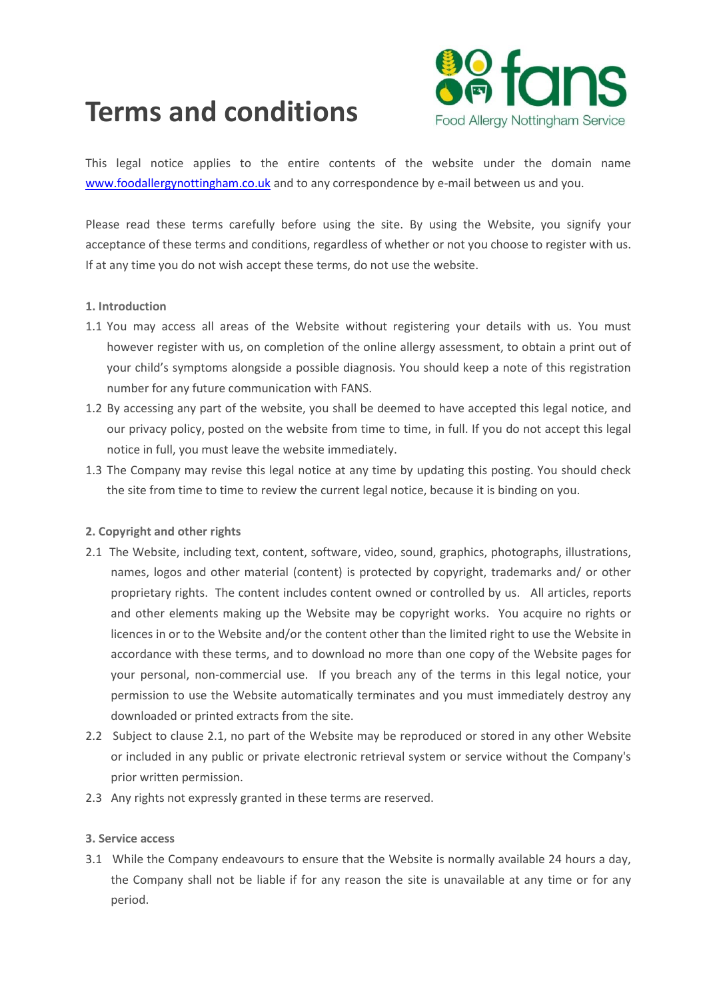

# **Terms and conditions**

This legal notice applies to the entire contents of the website under the domain name [www.foodallergynottingham.co.uk](http://www.foodallergynottingham.co.uk/) and to any correspondence by e-mail between us and you.

Please read these terms carefully before using the site. By using the Website, you signify your acceptance of these terms and conditions, regardless of whether or not you choose to register with us. If at any time you do not wish accept these terms, do not use the website.

## **1. Introduction**

- 1.1 You may access all areas of the Website without registering your details with us. You must however register with us, on completion of the online allergy assessment, to obtain a print out of your child's symptoms alongside a possible diagnosis. You should keep a note of this registration number for any future communication with FANS.
- 1.2 By accessing any part of the website, you shall be deemed to have accepted this legal notice, and our privacy policy, posted on the website from time to time, in full. If you do not accept this legal notice in full, you must leave the website immediately.
- 1.3 The Company may revise this legal notice at any time by updating this posting. You should check the site from time to time to review the current legal notice, because it is binding on you.

## **2. Copyright and other rights**

- 2.1 The Website, including text, content, software, video, sound, graphics, photographs, illustrations, names, logos and other material (content) is protected by copyright, trademarks and/ or other proprietary rights. The content includes content owned or controlled by us. All articles, reports and other elements making up the Website may be copyright works. You acquire no rights or licences in or to the Website and/or the content other than the limited right to use the Website in accordance with these terms, and to download no more than one copy of the Website pages for your personal, non-commercial use. If you breach any of the terms in this legal notice, your permission to use the Website automatically terminates and you must immediately destroy any downloaded or printed extracts from the site.
- 2.2 Subject to clause 2.1, no part of the Website may be reproduced or stored in any other Website or included in any public or private electronic retrieval system or service without the Company's prior written permission.
- 2.3 Any rights not expressly granted in these terms are reserved.

### **3. Service access**

3.1 While the Company endeavours to ensure that the Website is normally available 24 hours a day, the Company shall not be liable if for any reason the site is unavailable at any time or for any period.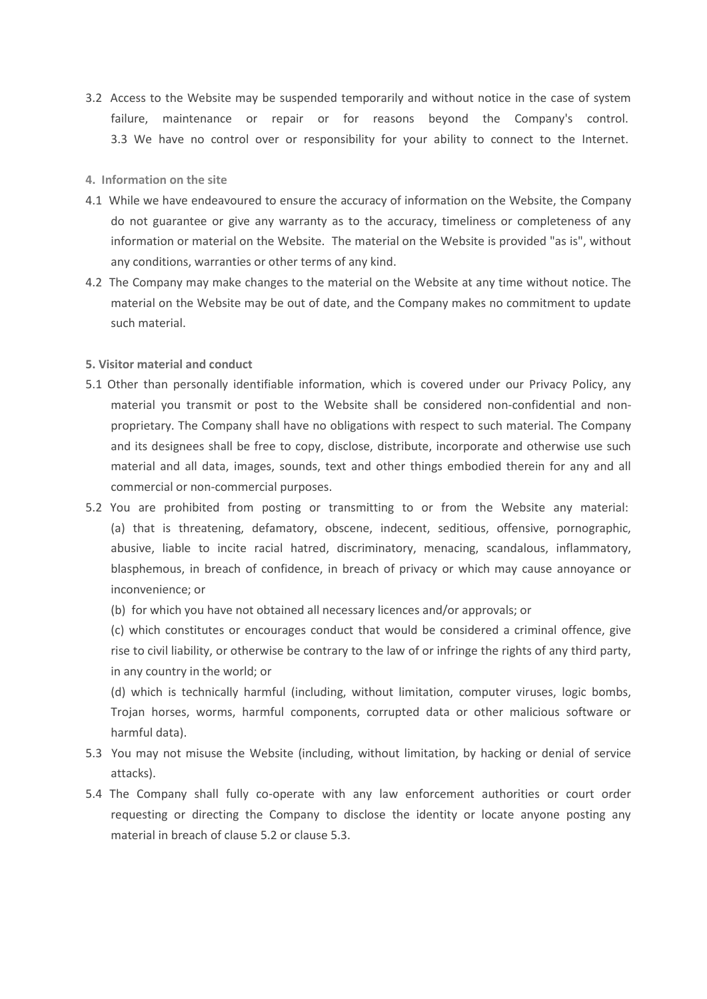3.2 Access to the Website may be suspended temporarily and without notice in the case of system failure, maintenance or repair or for reasons beyond the Company's control. 3.3 We have no control over or responsibility for your ability to connect to the Internet.

#### **4. Information on the site**

- 4.1 While we have endeavoured to ensure the accuracy of information on the Website, the Company do not guarantee or give any warranty as to the accuracy, timeliness or completeness of any information or material on the Website. The material on the Website is provided "as is", without any conditions, warranties or other terms of any kind.
- 4.2 The Company may make changes to the material on the Website at any time without notice. The material on the Website may be out of date, and the Company makes no commitment to update such material.

#### **5. Visitor material and conduct**

- 5.1 Other than personally identifiable information, which is covered under our Privacy Policy, any material you transmit or post to the Website shall be considered non-confidential and nonproprietary. The Company shall have no obligations with respect to such material. The Company and its designees shall be free to copy, disclose, distribute, incorporate and otherwise use such material and all data, images, sounds, text and other things embodied therein for any and all commercial or non-commercial purposes.
- 5.2 You are prohibited from posting or transmitting to or from the Website any material: (a) that is threatening, defamatory, obscene, indecent, seditious, offensive, pornographic, abusive, liable to incite racial hatred, discriminatory, menacing, scandalous, inflammatory, blasphemous, in breach of confidence, in breach of privacy or which may cause annoyance or inconvenience; or
	- (b) for which you have not obtained all necessary licences and/or approvals; or

(c) which constitutes or encourages conduct that would be considered a criminal offence, give rise to civil liability, or otherwise be contrary to the law of or infringe the rights of any third party, in any country in the world; or

(d) which is technically harmful (including, without limitation, computer viruses, logic bombs, Trojan horses, worms, harmful components, corrupted data or other malicious software or harmful data).

- 5.3 You may not misuse the Website (including, without limitation, by hacking or denial of service attacks).
- 5.4 The Company shall fully co-operate with any law enforcement authorities or court order requesting or directing the Company to disclose the identity or locate anyone posting any material in breach of clause 5.2 or clause 5.3.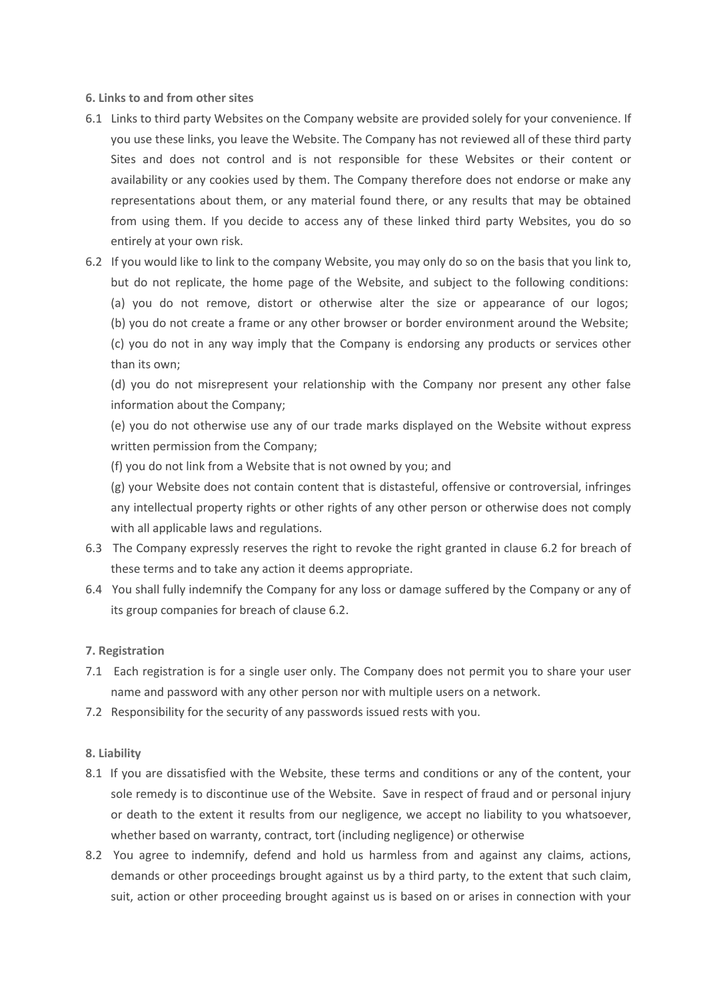## **6. Links to and from other sites**

- 6.1 Links to third party Websites on the Company website are provided solely for your convenience. If you use these links, you leave the Website. The Company has not reviewed all of these third party Sites and does not control and is not responsible for these Websites or their content or availability or any cookies used by them. The Company therefore does not endorse or make any representations about them, or any material found there, or any results that may be obtained from using them. If you decide to access any of these linked third party Websites, you do so entirely at your own risk.
- 6.2 If you would like to link to the company Website, you may only do so on the basis that you link to, but do not replicate, the home page of the Website, and subject to the following conditions: (a) you do not remove, distort or otherwise alter the size or appearance of our logos; (b) you do not create a frame or any other browser or border environment around the Website; (c) you do not in any way imply that the Company is endorsing any products or services other than its own;

(d) you do not misrepresent your relationship with the Company nor present any other false information about the Company;

(e) you do not otherwise use any of our trade marks displayed on the Website without express written permission from the Company;

(f) you do not link from a Website that is not owned by you; and

(g) your Website does not contain content that is distasteful, offensive or controversial, infringes any intellectual property rights or other rights of any other person or otherwise does not comply with all applicable laws and regulations.

- 6.3 The Company expressly reserves the right to revoke the right granted in clause 6.2 for breach of these terms and to take any action it deems appropriate.
- 6.4 You shall fully indemnify the Company for any loss or damage suffered by the Company or any of its group companies for breach of clause 6.2.

#### **7. Registration**

- 7.1 Each registration is for a single user only. The Company does not permit you to share your user name and password with any other person nor with multiple users on a network.
- 7.2 Responsibility for the security of any passwords issued rests with you.

#### **8. Liability**

- 8.1 If you are dissatisfied with the Website, these terms and conditions or any of the content, your sole remedy is to discontinue use of the Website. Save in respect of fraud and or personal injury or death to the extent it results from our negligence, we accept no liability to you whatsoever, whether based on warranty, contract, tort (including negligence) or otherwise
- 8.2 You agree to indemnify, defend and hold us harmless from and against any claims, actions, demands or other proceedings brought against us by a third party, to the extent that such claim, suit, action or other proceeding brought against us is based on or arises in connection with your